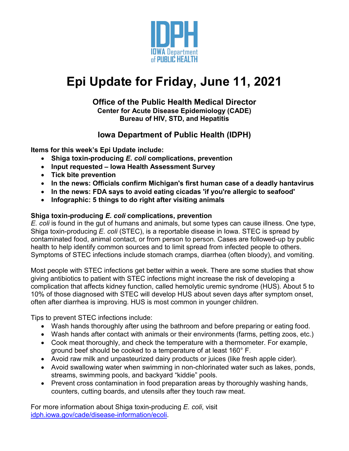

# **Epi Update for Friday, June 11, 2021**

### **Office of the Public Health Medical Director Center for Acute Disease Epidemiology (CADE) Bureau of HIV, STD, and Hepatitis**

## **Iowa Department of Public Health (IDPH)**

**Items for this week's Epi Update include:**

- **Shiga toxin-producing** *E. coli* **complications, prevention**
- **Input requested – Iowa Health Assessment Survey**
- **Tick bite prevention**
- **In the news: Officials confirm Michigan's first human case of a deadly hantavirus**
- **In the news: FDA says to avoid eating cicadas 'if you're allergic to seafood'**
- **Infographic: 5 things to do right after visiting animals**

## **Shiga toxin-producing** *E. coli* **complications, prevention**

*E. coli* is found in the gut of humans and animals, but some types can cause illness. One type, Shiga toxin-producing *E. coli* (STEC), is a reportable disease in Iowa. STEC is spread by contaminated food, animal contact, or from person to person. Cases are followed-up by public health to help identify common sources and to limit spread from infected people to others. Symptoms of STEC infections include stomach cramps, diarrhea (often bloody), and vomiting.

Most people with STEC infections get better within a week. There are some studies that show giving antibiotics to patient with STEC infections might increase the risk of developing a complication that affects kidney function, called hemolytic uremic syndrome (HUS). About 5 to 10% of those diagnosed with STEC will develop HUS about seven days after symptom onset, often after diarrhea is improving. HUS is most common in younger children.

Tips to prevent STEC infections include:

- Wash hands thoroughly after using the bathroom and before preparing or eating food.
- Wash hands after contact with animals or their environments (farms, petting zoos, etc.)
- Cook meat thoroughly, and check the temperature with a thermometer. For example, ground beef should be cooked to a temperature of at least 160° F.
- Avoid raw milk and unpasteurized dairy products or juices (like fresh apple cider).
- Avoid swallowing water when swimming in non-chlorinated water such as lakes, ponds, streams, swimming pools, and backyard "kiddie" pools.
- Prevent cross contamination in food preparation areas by thoroughly washing hands, counters, cutting boards, and utensils after they touch raw meat.

For more information about Shiga toxin-producing *E. coli*, visit [idph.iowa.gov/cade/disease-information/ecoli.](https://idph.iowa.gov/cade/disease-information/ecoli)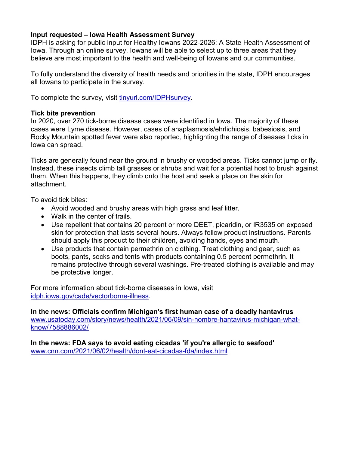#### **Input requested – Iowa Health Assessment Survey**

IDPH is asking for public input for Healthy Iowans 2022-2026: A State Health Assessment of Iowa. Through an online survey, Iowans will be able to select up to three areas that they believe are most important to the health and well-being of Iowans and our communities.

To fully understand the diversity of health needs and priorities in the state, IDPH encourages all Iowans to participate in the survey.

To complete the survey, visit [tinyurl.com/IDPHsurvey.](https://www.cognitoforms.com/IowaDepartmentOfPublicHealth1/IowaHealthAssessment)

#### **Tick bite prevention**

In 2020, over 270 tick-borne disease cases were identified in Iowa. The majority of these cases were Lyme disease. However, cases of anaplasmosis/ehrlichiosis, babesiosis, and Rocky Mountain spotted fever were also reported, highlighting the range of diseases ticks in Iowa can spread.

Ticks are generally found near the ground in brushy or wooded areas. Ticks cannot jump or fly. Instead, these insects climb tall grasses or shrubs and wait for a potential host to brush against them. When this happens, they climb onto the host and seek a place on the skin for attachment.

To avoid tick bites:

- Avoid wooded and brushy areas with high grass and leaf litter.
- Walk in the center of trails.
- Use repellent that contains 20 percent or more DEET, picaridin, or IR3535 on exposed skin for protection that lasts several hours. Always follow product instructions. Parents should apply this product to their children, avoiding hands, eyes and mouth.
- Use products that contain permethrin on clothing. Treat clothing and gear, such as boots, pants, socks and tents with products containing 0.5 percent permethrin. It remains protective through several washings. Pre-treated clothing is available and may be protective longer.

For more information about tick-borne diseases in Iowa, visit [idph.iowa.gov/cade/vectorborne-illness.](https://idph.iowa.gov/cade/vectorborne-illness)

**In the news: Officials confirm Michigan's first human case of a deadly hantavirus** [www.usatoday.com/story/news/health/2021/06/09/sin-nombre-hantavirus-michigan-what](http://www.usatoday.com/story/news/health/2021/06/09/sin-nombre-hantavirus-michigan-what-know/7588886002/)[know/7588886002/](http://www.usatoday.com/story/news/health/2021/06/09/sin-nombre-hantavirus-michigan-what-know/7588886002/)

**In the news: FDA says to avoid eating cicadas 'if you're allergic to seafood'** [www.cnn.com/2021/06/02/health/dont-eat-cicadas-fda/index.html](http://www.cnn.com/2021/06/02/health/dont-eat-cicadas-fda/index.html)